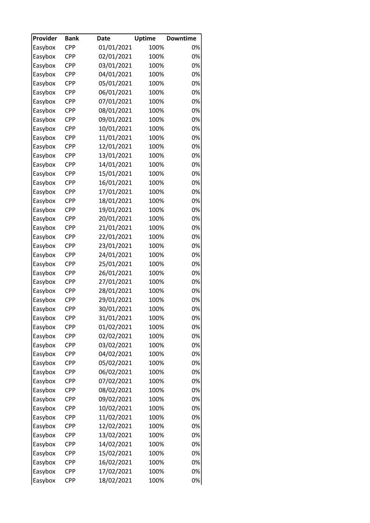| Provider | <b>Bank</b> | <b>Date</b> | <b>Uptime</b> | <b>Downtime</b> |
|----------|-------------|-------------|---------------|-----------------|
| Easybox  | <b>CPP</b>  | 01/01/2021  | 100%          | 0%              |
| Easybox  | <b>CPP</b>  | 02/01/2021  | 100%          | 0%              |
| Easybox  | <b>CPP</b>  | 03/01/2021  | 100%          | 0%              |
| Easybox  | <b>CPP</b>  | 04/01/2021  | 100%          | 0%              |
| Easybox  | <b>CPP</b>  | 05/01/2021  | 100%          | 0%              |
| Easybox  | <b>CPP</b>  | 06/01/2021  | 100%          | 0%              |
| Easybox  | <b>CPP</b>  | 07/01/2021  | 100%          | 0%              |
| Easybox  | <b>CPP</b>  | 08/01/2021  | 100%          | 0%              |
| Easybox  | <b>CPP</b>  | 09/01/2021  | 100%          | 0%              |
| Easybox  | <b>CPP</b>  | 10/01/2021  | 100%          | 0%              |
| Easybox  | <b>CPP</b>  | 11/01/2021  | 100%          | 0%              |
| Easybox  | <b>CPP</b>  | 12/01/2021  | 100%          | 0%              |
| Easybox  | <b>CPP</b>  | 13/01/2021  | 100%          | 0%              |
| Easybox  | <b>CPP</b>  | 14/01/2021  | 100%          | 0%              |
| Easybox  | <b>CPP</b>  | 15/01/2021  | 100%          | 0%              |
| Easybox  | <b>CPP</b>  | 16/01/2021  | 100%          | 0%              |
| Easybox  | <b>CPP</b>  | 17/01/2021  | 100%          | 0%              |
| Easybox  | <b>CPP</b>  | 18/01/2021  | 100%          | 0%              |
| Easybox  | <b>CPP</b>  | 19/01/2021  | 100%          | 0%              |
| Easybox  | <b>CPP</b>  | 20/01/2021  | 100%          | 0%              |
| Easybox  | <b>CPP</b>  | 21/01/2021  | 100%          | 0%              |
| Easybox  | <b>CPP</b>  | 22/01/2021  | 100%          | 0%              |
| Easybox  | <b>CPP</b>  | 23/01/2021  | 100%          | 0%              |
| Easybox  | <b>CPP</b>  | 24/01/2021  | 100%          | 0%              |
| Easybox  | <b>CPP</b>  | 25/01/2021  | 100%          | 0%              |
|          | CPP         |             |               | 0%              |
| Easybox  | <b>CPP</b>  | 26/01/2021  | 100%<br>100%  | 0%              |
| Easybox  |             | 27/01/2021  |               |                 |
| Easybox  | <b>CPP</b>  | 28/01/2021  | 100%          | 0%              |
| Easybox  | <b>CPP</b>  | 29/01/2021  | 100%          | 0%              |
| Easybox  | <b>CPP</b>  | 30/01/2021  | 100%          | 0%              |
| Easybox  | <b>CPP</b>  | 31/01/2021  | 100%          | 0%              |
| Easybox  | CPP         | 01/02/2021  | 100%          | 0%              |
| Easybox  | CPP         | 02/02/2021  | 100%          | 0%              |
| Easybox  | <b>CPP</b>  | 03/02/2021  | 100%          | 0%              |
| Easybox  | CPP         | 04/02/2021  | 100%          | 0%              |
| Easybox  | <b>CPP</b>  | 05/02/2021  | 100%          | 0%              |
| Easybox  | <b>CPP</b>  | 06/02/2021  | 100%          | 0%              |
| Easybox  | CPP         | 07/02/2021  | 100%          | 0%              |
| Easybox  | CPP         | 08/02/2021  | 100%          | 0%              |
| Easybox  | CPP         | 09/02/2021  | 100%          | 0%              |
| Easybox  | <b>CPP</b>  | 10/02/2021  | 100%          | 0%              |
| Easybox  | CPP         | 11/02/2021  | 100%          | 0%              |
| Easybox  | <b>CPP</b>  | 12/02/2021  | 100%          | 0%              |
| Easybox  | <b>CPP</b>  | 13/02/2021  | 100%          | 0%              |
| Easybox  | <b>CPP</b>  | 14/02/2021  | 100%          | 0%              |
| Easybox  | CPP         | 15/02/2021  | 100%          | 0%              |
| Easybox  | <b>CPP</b>  | 16/02/2021  | 100%          | 0%              |
| Easybox  | CPP         | 17/02/2021  | 100%          | 0%              |
| Easybox  | <b>CPP</b>  | 18/02/2021  | 100%          | 0%              |